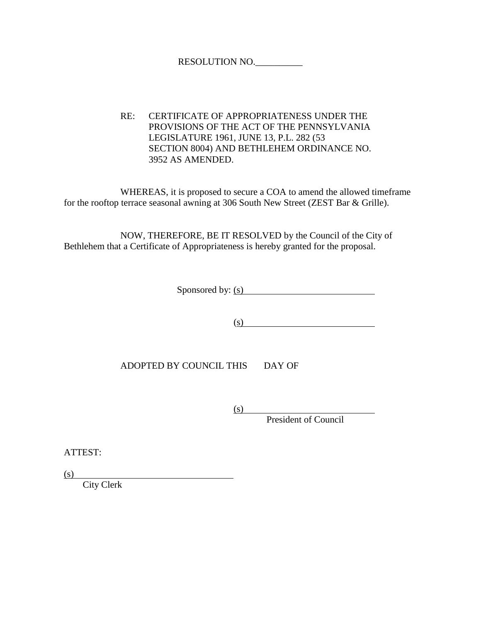## RESOLUTION NO.\_\_\_\_\_\_\_\_\_\_

RE: CERTIFICATE OF APPROPRIATENESS UNDER THE PROVISIONS OF THE ACT OF THE PENNSYLVANIA LEGISLATURE 1961, JUNE 13, P.L. 282 (53 SECTION 8004) AND BETHLEHEM ORDINANCE NO. 3952 AS AMENDED.

WHEREAS, it is proposed to secure a COA to amend the allowed timeframe for the rooftop terrace seasonal awning at 306 South New Street (ZEST Bar & Grille).

NOW, THEREFORE, BE IT RESOLVED by the Council of the City of Bethlehem that a Certificate of Appropriateness is hereby granted for the proposal.

Sponsored by: (s)

 $(s)$ 

ADOPTED BY COUNCIL THIS DAY OF

(s)

President of Council

ATTEST:

(s)

City Clerk